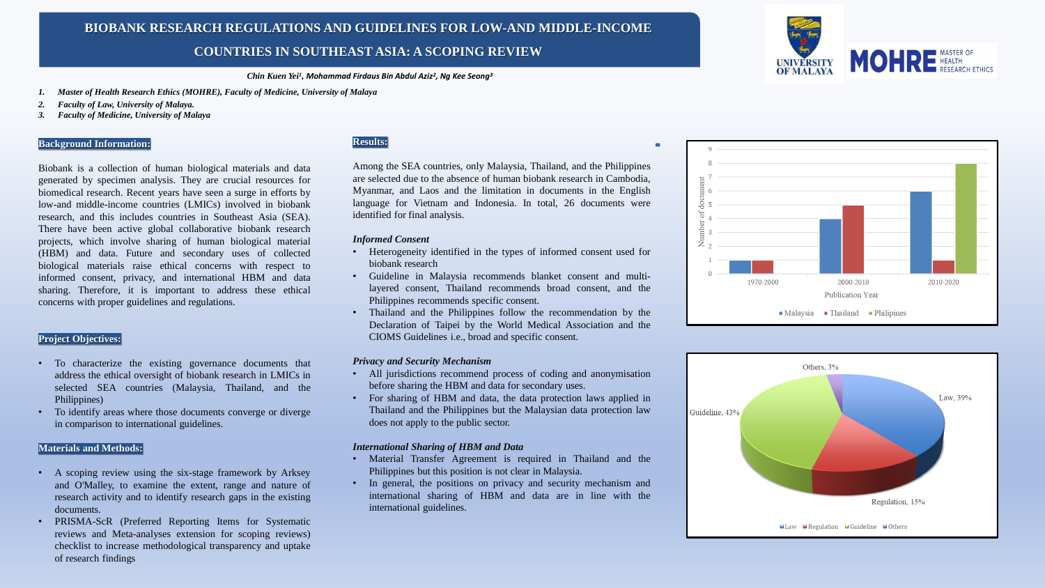#### *Chin Kuen Yei<sup>1</sup> , Mohammad Firdaus Bin Abdul Aziz<sup>2</sup> , Ng Kee Seong<sup>3</sup>*

- *1. Master of Health Research Ethics (MOHRE), Faculty of Medicine, University of Malaya*
- *2. Faculty of Law, University of Malaya.*
- *3. Faculty of Medicine, University of Malaya*

### **Background Information:**

Biobank is a collection of human biological materials and data generated by specimen analysis. They are crucial resources for biomedical research. Recent years have seen a surge in efforts by low-and middle-income countries (LMICs) involved in biobank research, and this includes countries in Southeast Asia (SEA). There have been active global collaborative biobank research projects, which involve sharing of human biological material (HBM) and data. Future and secondary uses of collected biological materials raise ethical concerns with respect to informed consent, privacy, and international HBM and data sharing. Therefore, it is important to address these ethical concerns with proper guidelines and regulations.

# **Project Objectives:**

- To characterize the existing governance documents that address the ethical oversight of biobank research in LMICs in selected SEA countries (Malaysia, Thailand, and the Philippines)
- To identify areas where those documents converge or diverge in comparison to international guidelines.

### **Materials and Methods:**

- A scoping review using the six-stage framework by Arksey and O'Malley, to examine the extent, range and nature of research activity and to identify research gaps in the existing documents.
- PRISMA-ScR (Preferred Reporting Items for Systematic reviews and Meta-analyses extension for scoping reviews) checklist to increase methodological transparency and uptake of research findings

#### **BIOBANK RESEARCH REGULATIONS AND GUIDELINES FOR LOW-AND MIDDLE-INCOME COUNTRIES**  I KIES IN SOUTHEAST ASIA: A SCOPING KE **BIOBANK RESEARCH REGULATIONS AND GUIDELINES FOR LOW-AND MIDDLE-INCOME COUNTRIES IN SOUTHEAST ASIA: A SCOPING REVIEW**

# **Results:**

Among the SEA countries, only Malaysia, Thailand, and the Philippines are selected due to the absence of human biobank research in Cambodia, Myanmar, and Laos and the limitation in documents in the English language for Vietnam and Indonesia. In total, 26 documents were identified for final analysis.

### *Informed Consent*

- Heterogeneity identified in the types of informed consent used for biobank research
- Guideline in Malaysia recommends blanket consent and multilayered consent, Thailand recommends broad consent, and the Philippines recommends specific consent.
- Thailand and the Philippines follow the recommendation by the Declaration of Taipei by the World Medical Association and the CIOMS Guidelines i.e., broad and specific consent.

# *Privacy and Security Mechanism*

- All jurisdictions recommend process of coding and anonymisation before sharing the HBM and data for secondary uses.
- For sharing of HBM and data, the data protection laws applied in Thailand and the Philippines but the Malaysian data protection law does not apply to the public sector.

#### *International Sharing of HBM and Data*

- Material Transfer Agreement is required in Thailand and the Philippines but this position is not clear in Malaysia.
- In general, the positions on privacy and security mechanism and international sharing of HBM and data are in line with the international guidelines.





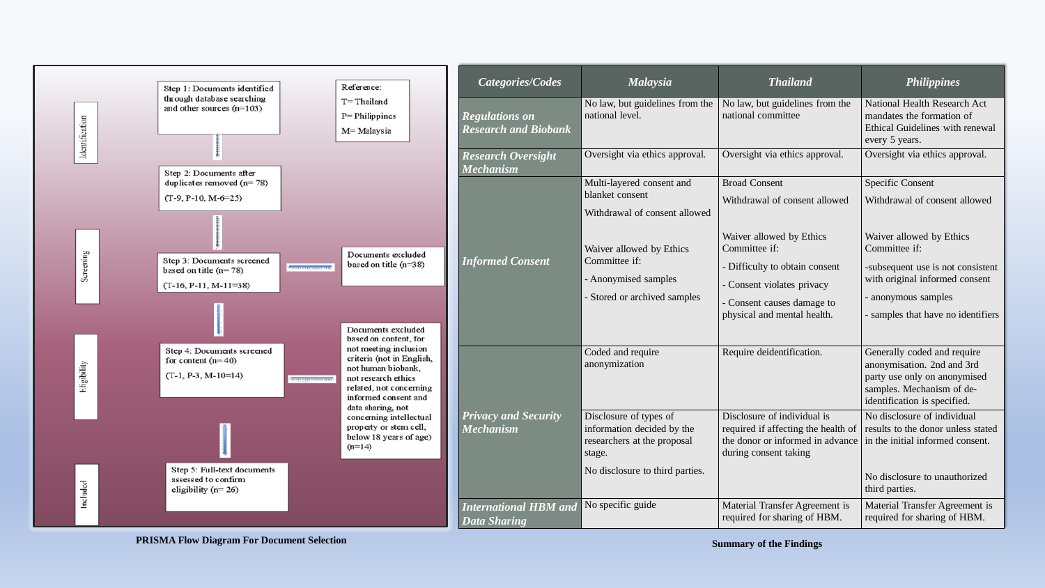

**PRISMA Flow Diagram For Document Selection**

| $\overline{ysia}$                 | <b>Thailand</b>                                                                                                                 | <b>Philippines</b>                                                                                                                                     |  |  |
|-----------------------------------|---------------------------------------------------------------------------------------------------------------------------------|--------------------------------------------------------------------------------------------------------------------------------------------------------|--|--|
| elines from the                   | No law, but guidelines from the<br>national committee                                                                           | <b>National Health Research Act</b><br>mandates the formation of<br>Ethical Guidelines with renewal<br>every 5 years.                                  |  |  |
| ics approval.                     | Oversight via ethics approval.                                                                                                  | Oversight via ethics approval.                                                                                                                         |  |  |
| nsent and                         | <b>Broad Consent</b>                                                                                                            | <b>Specific Consent</b>                                                                                                                                |  |  |
| onsent allowed                    | Withdrawal of consent allowed                                                                                                   | Withdrawal of consent allowed                                                                                                                          |  |  |
| by Ethics                         | Waiver allowed by Ethics<br>Committee if:                                                                                       | Waiver allowed by Ethics<br>Committee if:                                                                                                              |  |  |
| mples<br>ved samples              | - Difficulty to obtain consent<br>- Consent violates privacy                                                                    | -subsequent use is not consistent<br>with original informed consent<br>- anonymous samples                                                             |  |  |
|                                   | - Consent causes damage to<br>physical and mental health.                                                                       | - samples that have no identifiers                                                                                                                     |  |  |
| re                                | Require deidentification.                                                                                                       | Generally coded and require<br>anonymisation. 2nd and 3rd<br>party use only on anonymised<br>samples. Mechanism of de-<br>identification is specified. |  |  |
| es of<br>ded by the<br>e proposal | Disclosure of individual is<br>required if affecting the health of<br>the donor or informed in advance<br>during consent taking | No disclosure of individual<br>results to the donor unless stated<br>in the initial informed consent.                                                  |  |  |
| third parties.                    |                                                                                                                                 | No disclosure to unauthorized<br>third parties.                                                                                                        |  |  |
|                                   | Material Transfer Agreement is<br>required for sharing of HBM.                                                                  | Material Transfer Agreement is<br>required for sharing of HBM.                                                                                         |  |  |